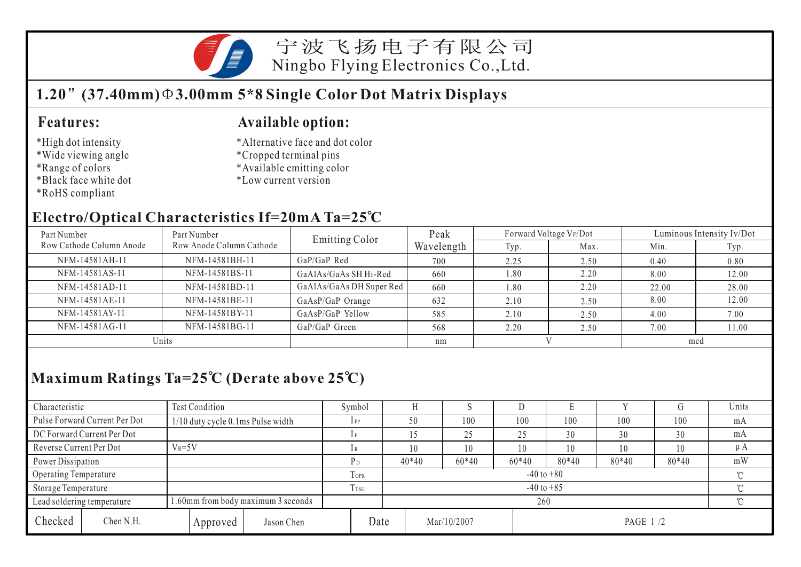

宁波飞扬电子有限公司 Ningbo Flying Electronics Co.,Ltd.

# **1.20 (37.40mm) 3.00mm 5\*8 Single Color Dot Matrix Displays**

#### **Features:**

- \*High dot intensity
- \*Wide viewing angle
- \*Range of colors
- \*Black face white dot
- \*RoHS compliant

#### **Available option:**

- \*Alternative face and dot color
- \*Cropped terminal pins
- \*Available emitting color
- \*Low current version

#### **Electro/Optical Characteristics If=20mA Ta=25 C**

| Part Number              | Part Number                     | <b>Emitting Color</b>    | Peak       | Forward Voltage VF/Dot |      | Luminous Intensity Iv/Dot |       |  |
|--------------------------|---------------------------------|--------------------------|------------|------------------------|------|---------------------------|-------|--|
| Row Cathode Column Anode | Row Anode Column Cathode        |                          | Wavelength | Typ.                   | Max. | Min.                      | Typ.  |  |
| NFM-14581AH-11           | NFM-14581BH-11                  | GaP/GaP Red              | 700        | 2.25                   | 2.50 | 0.40                      | 0.80  |  |
| NFM-14581AS-11           | NFM-14581BS-11                  | GaAlAs/GaAs SH Hi-Red    | 660        | 1.80                   | 2.20 | 8.00                      | 12.00 |  |
| NFM-14581AD-11           | NFM-14581BD-11                  | GaAlAs/GaAs DH Super Red | 660        | 1.80                   | 2.20 | 22.00                     | 28.00 |  |
| NFM-14581AE-11           | NFM-14581BE-11                  | GaAsP/GaP Orange         | 632        | 2.10                   | 2.50 | 8.00                      | 12.00 |  |
| NFM-14581AY-11           | NFM-14581BY-11                  | GaAsP/GaP Yellow         | 585        | 2.10                   | 2.50 | 4.00                      | 7.00  |  |
| NFM-14581AG-11           | NFM-14581BG-11<br>GaP/GaP Green |                          | 568        | 2.20                   | 2.50 | 7.00                      | 11.00 |  |
| Units                    |                                 |                          | nm         |                        |      | mcd                       |       |  |

### **Maximum Ratings Ta=25 C (Derate above 25 C)**

| Characteristic               |                               | <b>Test Condition</b>              |                  |                            |             | Symbol                   |         |             |         |         |          |       |         | Units   |
|------------------------------|-------------------------------|------------------------------------|------------------|----------------------------|-------------|--------------------------|---------|-------------|---------|---------|----------|-------|---------|---------|
|                              | Pulse Forward Current Per Dot | 1/10 duty cycle 0.1ms Pulse width  |                  |                            |             | $1$ FP                   | 50      |             | 100     | 100     | 100      | 100   | 100     | mA      |
|                              | DC Forward Current Per Dot    |                                    |                  |                            |             |                          |         | 25          | 25      | 30      | 30       | 30    | mA      |         |
| Reverse Current Per Dot      |                               | $V_R = 5V$                         |                  |                            |             |                          | 10      |             | 10      | 10      | 10       | 10    | 10      | $\mu A$ |
|                              | Power Dissipation             |                                    |                  |                            |             | P <sub>D</sub>           | $40*40$ |             | $60*40$ | $60*40$ | $80*40$  | 80*40 | $80*40$ | mW      |
| <b>Operating Temperature</b> |                               |                                    |                  |                            | <b>TOPR</b> | $-40$ to $+80$<br>$\sim$ |         |             |         |         |          |       |         |         |
| Storage Temperature          |                               |                                    | T <sub>TSG</sub> | $-40$ to $+85$<br>$\gamma$ |             |                          |         |             |         |         |          |       |         |         |
|                              | Lead soldering temperature    | 1.60mm from body maximum 3 seconds |                  |                            |             |                          |         | $\gamma$    |         |         |          |       |         |         |
| Checked                      | Chen N.H.                     |                                    | Approved         | Jason Chen                 | Date        |                          |         | Mar/10/2007 |         |         | PAGE 1/2 |       |         |         |